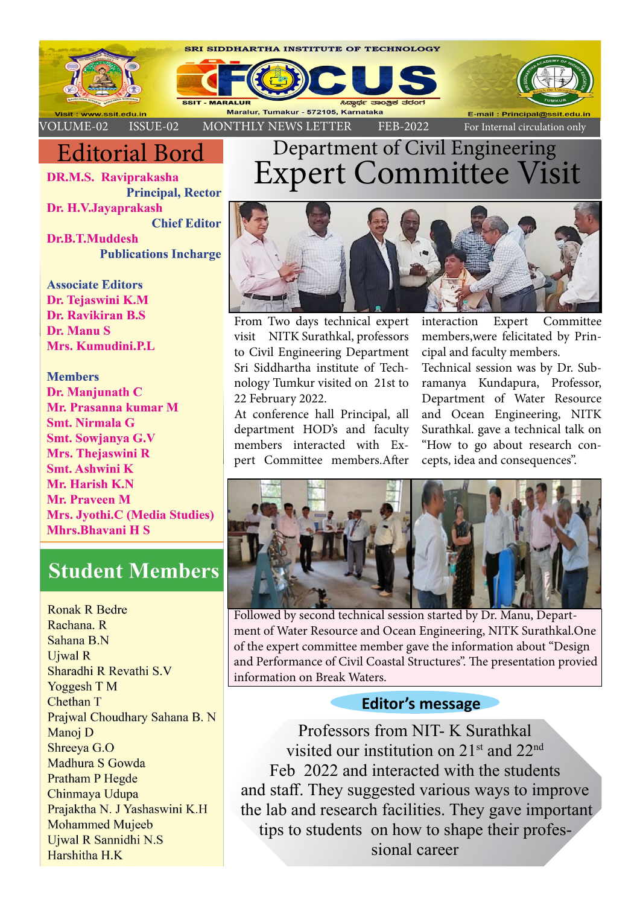

## Editorial Bord

**DR.M.S. Raviprakasha Principal, Rector** Dr. H.V.Javaprakash **Chief Editor** Dr.B.T.Muddesh **Publications Incharge** 

**Associate Editors** Dr. Tejaswini K.M Dr. Ravikiran B.S. Dr. Manu S Mrs. Kumudini.P.L

**Members** Dr. Manjunath C Mr. Prasanna kumar M **Smt. Nirmala G** Smt. Sowjanya G.V Mrs. Thejaswini R **Smt. Ashwini K** Mr. Harish K.N **Mr. Praveen M Mrs. Jyothi.C (Media Studies) Mhrs.Bhavani H S** 

## **Student Members**

**Ronak R Bedre** Rachana, R Sahana B.N **Uiwal R** Sharadhi R Revathi S.V **Yoggesh T M Chethan T** Prajwal Choudhary Sahana B. N Manoj D Shreeva G.O Madhura S Gowda **Pratham P Hegde** Chinmaya Udupa Prajaktha N. J Yashaswini K.H **Mohammed Mujeeb** Ujwal R Sannidhi N.S Harshitha H.K

# Department of Civil Engineering Expert Committee Visit



From Two days technical expert visit NITK Surathkal, professors to Civil Engineering Department Sri Siddhartha institute of Technology Tumkur visited on 21st to 22 February 2022.

At conference hall Principal, all department HOD's and faculty members interacted with Expert Committee members.After

interaction Expert Committee members,were felicitated by Principal and faculty members.

Technical session was by Dr. Subramanya Kundapura, Professor, Department of Water Resource and Ocean Engineering, NITK Surathkal. gave a technical talk on "How to go about research concepts, idea and consequences''.



Followed by second technical session started by Dr. Manu, Department of Water Resource and Ocean Engineering, NITK Surathkal.One of the expert committee member gave the information about "Design and Performance of Civil Coastal Structures". The presentation provied information on Break Waters.

## **Editor's message**

Professors from NIT- K Surathkal visited our institution on 21st and 22nd Feb 2022 and interacted with the students and staff. They suggested various ways to improve the lab and research facilities. They gave important tips to students on how to shape their professional career